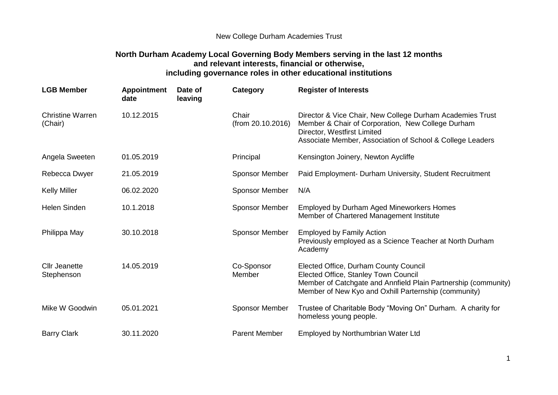## New College Durham Academies Trust

## **North Durham Academy Local Governing Body Members serving in the last 12 months and relevant interests, financial or otherwise, including governance roles in other educational institutions**

| <b>LGB Member</b>                  | <b>Appointment</b><br>date | Date of<br>leaving | Category                   | <b>Register of Interests</b>                                                                                                                                                                               |
|------------------------------------|----------------------------|--------------------|----------------------------|------------------------------------------------------------------------------------------------------------------------------------------------------------------------------------------------------------|
| <b>Christine Warren</b><br>(Chair) | 10.12.2015                 |                    | Chair<br>(from 20.10.2016) | Director & Vice Chair, New College Durham Academies Trust<br>Member & Chair of Corporation, New College Durham<br>Director, Westfirst Limited<br>Associate Member, Association of School & College Leaders |
| Angela Sweeten                     | 01.05.2019                 |                    | Principal                  | Kensington Joinery, Newton Aycliffe                                                                                                                                                                        |
| Rebecca Dwyer                      | 21.05.2019                 |                    | <b>Sponsor Member</b>      | Paid Employment- Durham University, Student Recruitment                                                                                                                                                    |
| <b>Kelly Miller</b>                | 06.02.2020                 |                    | <b>Sponsor Member</b>      | N/A                                                                                                                                                                                                        |
| <b>Helen Sinden</b>                | 10.1.2018                  |                    | <b>Sponsor Member</b>      | Employed by Durham Aged Mineworkers Homes<br>Member of Chartered Management Institute                                                                                                                      |
| Philippa May                       | 30.10.2018                 |                    | <b>Sponsor Member</b>      | <b>Employed by Family Action</b><br>Previously employed as a Science Teacher at North Durham<br>Academy                                                                                                    |
| <b>Cllr Jeanette</b><br>Stephenson | 14.05.2019                 |                    | Co-Sponsor<br>Member       | Elected Office, Durham County Council<br>Elected Office, Stanley Town Council<br>Member of Catchgate and Annfield Plain Partnership (community)<br>Member of New Kyo and Oxhill Parternship (community)    |
| Mike W Goodwin                     | 05.01.2021                 |                    | <b>Sponsor Member</b>      | Trustee of Charitable Body "Moving On" Durham. A charity for<br>homeless young people.                                                                                                                     |
| <b>Barry Clark</b>                 | 30.11.2020                 |                    | <b>Parent Member</b>       | Employed by Northumbrian Water Ltd                                                                                                                                                                         |